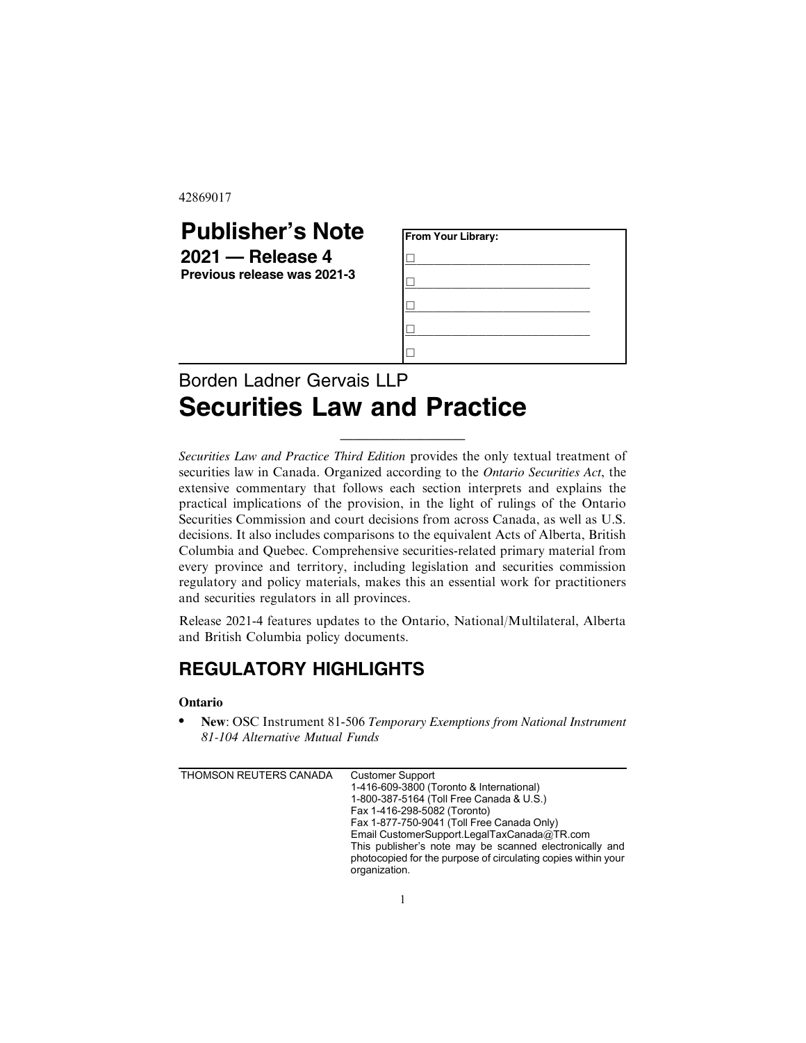42869017

| <b>Publisher's Note</b>                           | <b>From Your Library:</b> |  |
|---------------------------------------------------|---------------------------|--|
| $2021 -$ Release 4<br>Previous release was 2021-3 |                           |  |
|                                                   |                           |  |
|                                                   |                           |  |
|                                                   |                           |  |
|                                                   |                           |  |
|                                                   |                           |  |

# Borden Ladner Gervais LLP **Securities Law and Practice**

*Securities Law and Practice Third Edition* provides the only textual treatment of securities law in Canada. Organized according to the *Ontario Securities Act*, the extensive commentary that follows each section interprets and explains the practical implications of the provision, in the light of rulings of the Ontario Securities Commission and court decisions from across Canada, as well as U.S. decisions. It also includes comparisons to the equivalent Acts of Alberta, British Columbia and Quebec. Comprehensive securities-related primary material from every province and territory, including legislation and securities commission regulatory and policy materials, makes this an essential work for practitioners and securities regulators in all provinces.

\_\_\_\_\_\_\_\_\_\_\_\_\_\_\_\_\_\_\_

Release 2021-4 features updates to the Ontario, National/Multilateral, Alberta and British Columbia policy documents.

# **REGULATORY HIGHLIGHTS**

#### **Ontario**

. **New**: OSC Instrument 81-506 *Temporary Exemptions from National Instrument 81-104 Alternative Mutual Funds*